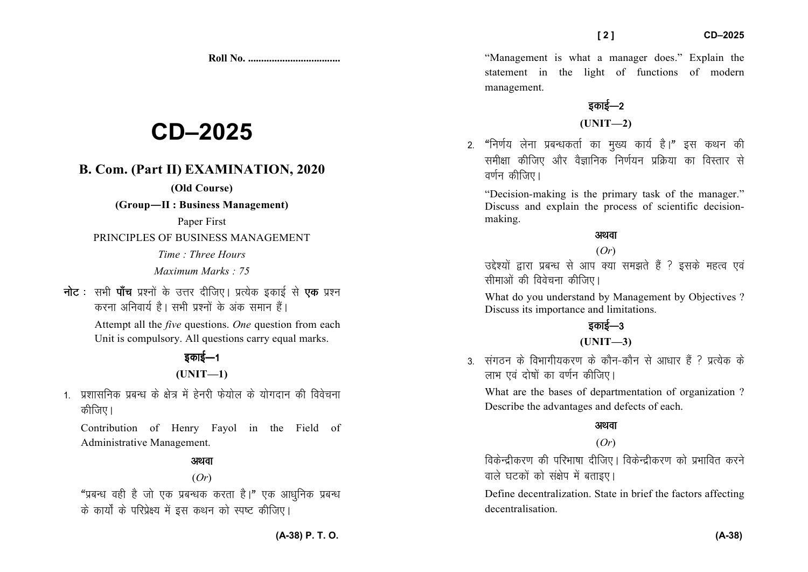**Roll No. ...................................** 

# **CD–2025**

### **B. Com. (Part II) EXAMINATION, 2020**

### **(Old Course)**

**(Group—II : Business Management)** 

Paper First

PRINCIPLES OF BUSINESS MANAGEMENT

*Time : Three Hours Maximum Marks : 75*

**नोट** : सभी **पाँच** प्रश्नों के उत्तर दीजिए। प्रत्येक इकाई से **एक** प्रश्न करना अनिवार्य है। सभी पश्नों के अंक समान हैं।

> Attempt all the *five* questions. *One* question from each Unit is compulsory. All questions carry equal marks.

### डकाई—1

### **(UNIT—1)**

1. प्रशासनिक प्रबन्ध के क्षेत्र में हेनरी फेयोल के योगदान की विवेचना कीजिए।

Contribution of Henry Fayol in the Field of Administrative Management.

### अथवा (*Or*)

"प्रबन्ध वही है जो एक प्रबन्धक करता है।" एक आधनिक प्रबन्ध के कार्यों के परिप्रेक्ष्य में इस कथन को स्पष्ट कीजिए।

"Management is what a manager does." Explain the statement in the light of functions of modern management.

## डकाई—2

**(UNIT—2)** 

2. "निर्णय लेना प्रबन्धकर्ता का मुख्य कार्य है।" इस कथन की समीक्षा कीजिए और वैज्ञानिक निर्णयन प्रक्रिया का विस्तार से वर्णन कीजिए।

"Decision-making is the primary task of the manager." Discuss and explain the process of scientific decisionmaking.

### अथवा

### (*Or*)

उद्देश्यों द्वारा प्रबन्ध से आप क्या समझते हैं ? इसके महत्व एवं सीमाओं की विवेचना कीजिए।

What do you understand by Management by Objectives ? Discuss its importance and limitations.

## डकाई—3

### **(UNIT—3)**

3- संगतन के विभागीयकरण के कौन-कौन से आधार हैं ? प्रत्येक के लाभ एवं दोषों का वर्णन कीजिए।

What are the bases of departmentation of organization ? Describe the advantages and defects of each.

### अथवा

### (*Or*)

विकेन्द्रीकरण की परिभाषा दीजिए। विकेन्द्रीकरण को प्रभावित करने वाले घटकों को संक्षेप में बताइए।

Define decentralization. State in brief the factors affecting decentralisation.